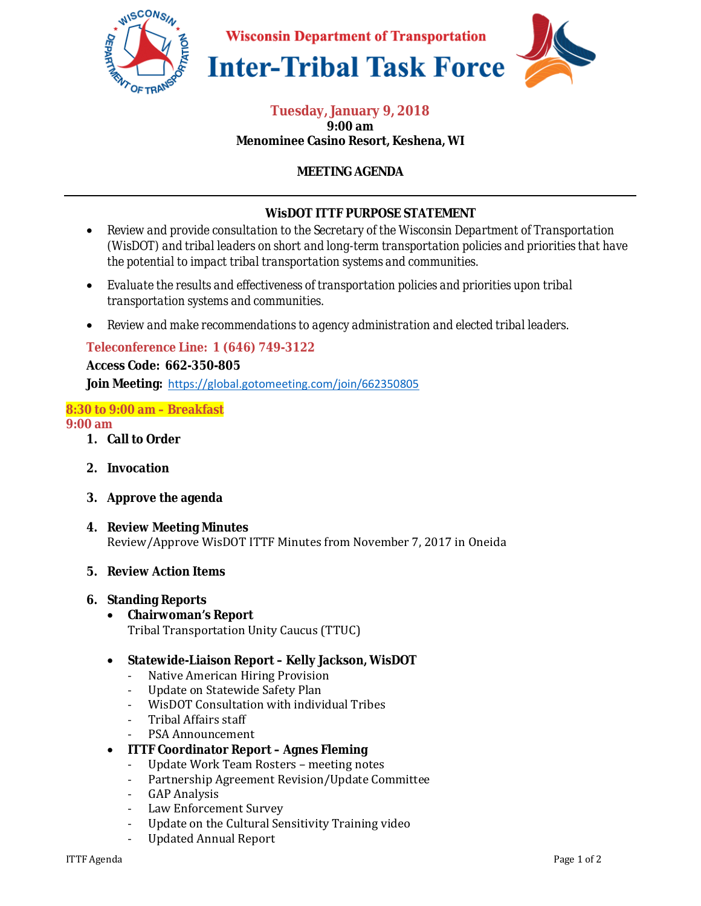

**Wisconsin Department of Transportation** 





#### **Tuesday, January 9, 2018 9:00 am Menominee Casino Resort, Keshena, WI**

# **MEETING AGENDA**

## **WisDOT ITTF PURPOSE STATEMENT**

- *Review and provide consultation to the Secretary of the Wisconsin Department of Transportation (WisDOT) and tribal leaders on short and long-term transportation policies and priorities that have the potential to impact tribal transportation systems and communities.*
- *Evaluate the results and effectiveness of transportation policies and priorities upon tribal transportation systems and communities.*
- *Review and make recommendations to agency administration and elected tribal leaders.*

## **Teleconference Line: 1 (646) 749-3122**

**Access Code: 662-350-805 Join Meeting:** https://global.gotomeeting.com/join/662350805

## **8:30 to 9:00 am – Breakfast**

#### **9:00 am**

- **1. Call to Order**
- **2. Invocation**
- **3. Approve the agenda**
- **4. Review Meeting Minutes**  Review/Approve WisDOT ITTF Minutes from November 7, 2017 in Oneida

#### **5. Review Action Items**

#### **6. Standing Reports**

- **Chairwoman's Report**  Tribal Transportation Unity Caucus (TTUC)
- **Statewide-Liaison Report Kelly Jackson, WisDOT** 
	- Native American Hiring Provision
	- Update on Statewide Safety Plan
	- WisDOT Consultation with individual Tribes
	- Tribal Affairs staff
	- PSA Announcement
- **ITTF Coordinator Report Agnes Fleming** 
	- Update Work Team Rosters meeting notes
	- Partnership Agreement Revision/Update Committee
	- GAP Analysis
	- Law Enforcement Survey
	- Update on the Cultural Sensitivity Training video
	- Updated Annual Report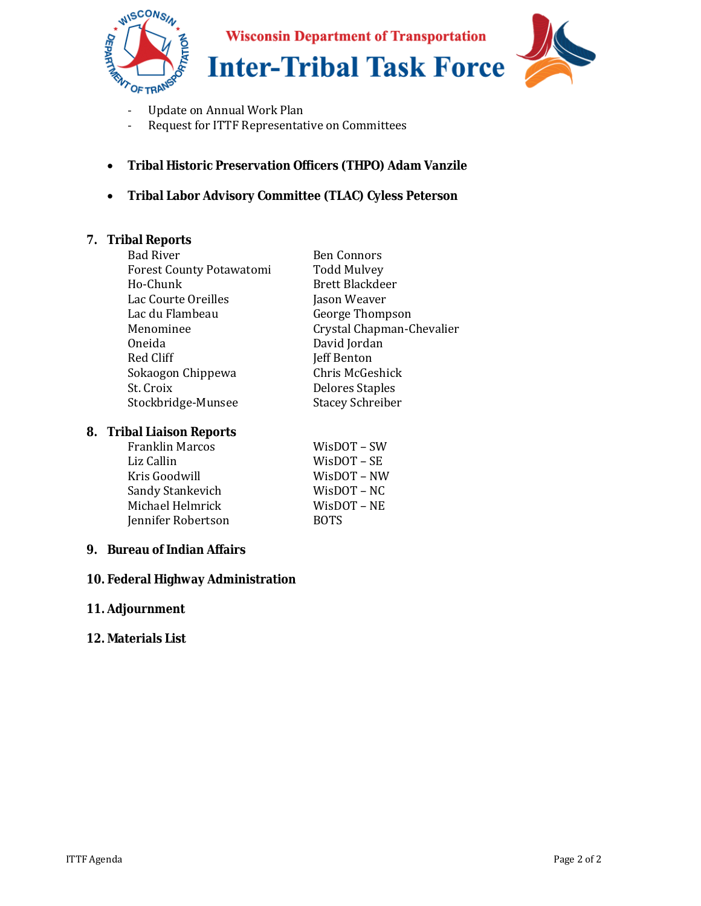

**Wisconsin Department of Transportation** 

**Inter-Tribal Task Force** 

- Update on Annual Work Plan
- Request for ITTF Representative on Committees
- **Tribal Historic Preservation Officers (THPO) Adam Vanzile**
- **Tribal Labor Advisory Committee (TLAC) Cyless Peterson**

### **7. Tribal Reports**

| <b>Bad River</b>                | <b>Ben Connors</b>        |
|---------------------------------|---------------------------|
| <b>Forest County Potawatomi</b> | <b>Todd Mulvey</b>        |
| Ho-Chunk                        | <b>Brett Blackdeer</b>    |
| Lac Courte Oreilles             | Jason Weaver              |
| Lac du Flambeau                 | George Thompson           |
| Menominee                       | Crystal Chapman-Chevalier |
| Oneida                          | David Jordan              |
| Red Cliff                       | <b>Jeff Benton</b>        |
| Sokaogon Chippewa               | Chris McGeshick           |
| St. Croix                       | <b>Delores Staples</b>    |
| Stockbridge-Munsee              | <b>Stacey Schreiber</b>   |
|                                 |                           |

#### **8. Tribal Liaison Reports**

| WisDOT – SW       |
|-------------------|
| $W$ isDOT – SE    |
| WisDOT – NW       |
| $W$ is $DOT - NC$ |
| WisDOT – NE       |
| <b>BOTS</b>       |
|                   |

## **9. Bureau of Indian Affairs**

## **10. Federal Highway Administration**

#### **11. Adjournment**

#### **12. Materials List**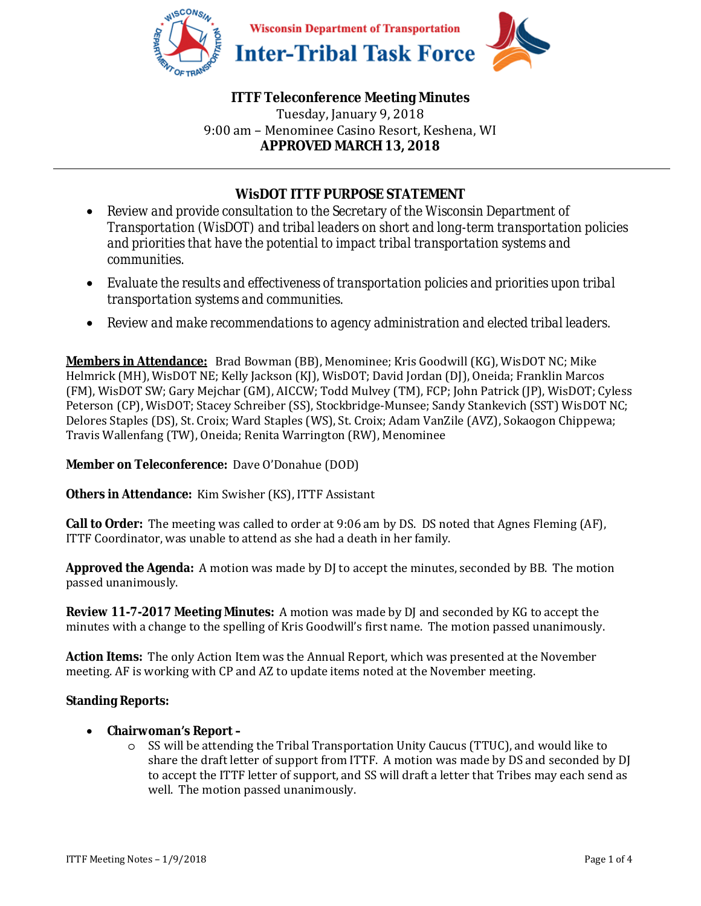

## **ITTF Teleconference Meeting Minutes**  Tuesday, January 9, 2018 9:00 am – Menominee Casino Resort, Keshena, WI **APPROVED MARCH 13, 2018**

# **WisDOT ITTF PURPOSE STATEMENT**

- *Review and provide consultation to the Secretary of the Wisconsin Department of Transportation (WisDOT) and tribal leaders on short and long-term transportation policies and priorities that have the potential to impact tribal transportation systems and communities.*
- *Evaluate the results and effectiveness of transportation policies and priorities upon tribal transportation systems and communities.*
- *Review and make recommendations to agency administration and elected tribal leaders.*

**Members in Attendance:** Brad Bowman (BB), Menominee; Kris Goodwill (KG), WisDOT NC; Mike Helmrick (MH), WisDOT NE; Kelly Jackson (KJ), WisDOT; David Jordan (DJ), Oneida; Franklin Marcos (FM), WisDOT SW; Gary Mejchar (GM), AICCW; Todd Mulvey (TM), FCP; John Patrick (JP), WisDOT; Cyless Peterson (CP), WisDOT; Stacey Schreiber (SS), Stockbridge-Munsee; Sandy Stankevich (SST) WisDOT NC; Delores Staples (DS), St. Croix; Ward Staples (WS), St. Croix; Adam VanZile (AVZ), Sokaogon Chippewa; Travis Wallenfang (TW), Oneida; Renita Warrington (RW), Menominee

**Member on Teleconference:** Dave O'Donahue (DOD)

**Others in Attendance:** Kim Swisher (KS), ITTF Assistant

**Call to Order:** The meeting was called to order at 9:06 am by DS. DS noted that Agnes Fleming (AF), ITTF Coordinator, was unable to attend as she had a death in her family.

**Approved the Agenda:** A motion was made by DJ to accept the minutes, seconded by BB. The motion passed unanimously.

**Review 11-7-2017 Meeting Minutes:** A motion was made by DJ and seconded by KG to accept the minutes with a change to the spelling of Kris Goodwill's first name. The motion passed unanimously.

**Action Items:** The only Action Item was the Annual Report, which was presented at the November meeting. AF is working with CP and AZ to update items noted at the November meeting.

## **Standing Reports:**

- **Chairwoman's Report** 
	- o SS will be attending the Tribal Transportation Unity Caucus (TTUC), and would like to share the draft letter of support from ITTF. A motion was made by DS and seconded by DJ to accept the ITTF letter of support, and SS will draft a letter that Tribes may each send as well. The motion passed unanimously.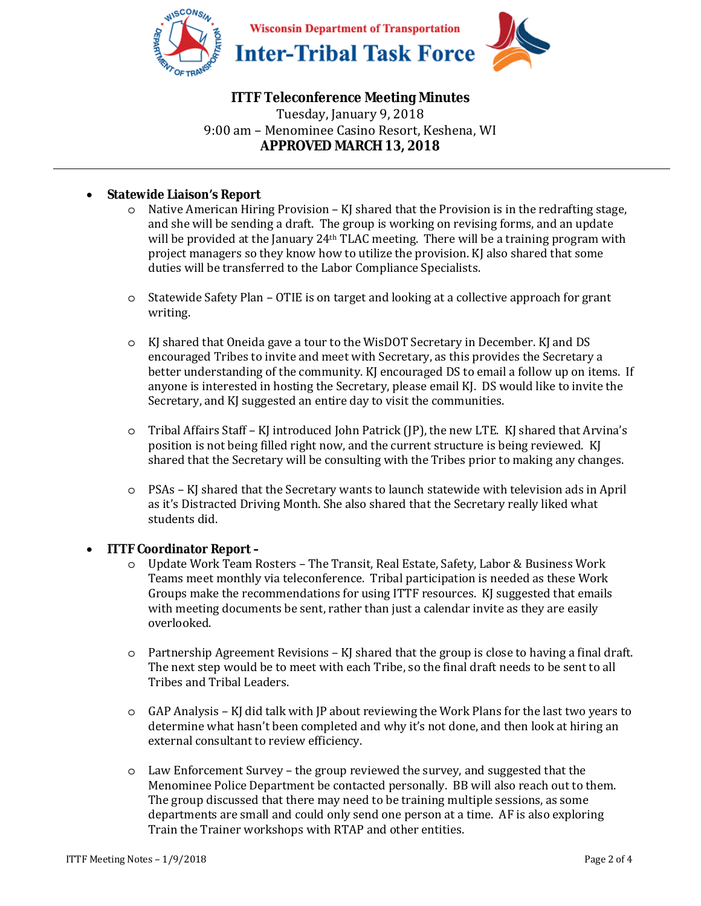

# **ITTF Teleconference Meeting Minutes**

Tuesday, January 9, 2018 9:00 am – Menominee Casino Resort, Keshena, WI **APPROVED MARCH 13, 2018** 

#### • **Statewide Liaison's Report**

- $\circ$  Native American Hiring Provision KJ shared that the Provision is in the redrafting stage, and she will be sending a draft. The group is working on revising forms, and an update will be provided at the January  $24$ <sup>th</sup> TLAC meeting. There will be a training program with project managers so they know how to utilize the provision. KJ also shared that some duties will be transferred to the Labor Compliance Specialists.
- o Statewide Safety Plan OTIE is on target and looking at a collective approach for grant writing.
- o KJ shared that Oneida gave a tour to the WisDOT Secretary in December. KJ and DS encouraged Tribes to invite and meet with Secretary, as this provides the Secretary a better understanding of the community. KJ encouraged DS to email a follow up on items. If anyone is interested in hosting the Secretary, please email KJ. DS would like to invite the Secretary, and KJ suggested an entire day to visit the communities.
- o Tribal Affairs Staff KJ introduced John Patrick (JP), the new LTE. KJ shared that Arvina's position is not being filled right now, and the current structure is being reviewed. KJ shared that the Secretary will be consulting with the Tribes prior to making any changes.
- o PSAs KJ shared that the Secretary wants to launch statewide with television ads in April as it's Distracted Driving Month. She also shared that the Secretary really liked what students did.

#### • **ITTF Coordinator Report –**

- o Update Work Team Rosters The Transit, Real Estate, Safety, Labor & Business Work Teams meet monthly via teleconference. Tribal participation is needed as these Work Groups make the recommendations for using ITTF resources. KJ suggested that emails with meeting documents be sent, rather than just a calendar invite as they are easily overlooked.
- o Partnership Agreement Revisions KJ shared that the group is close to having a final draft. The next step would be to meet with each Tribe, so the final draft needs to be sent to all Tribes and Tribal Leaders.
- o GAP Analysis KJ did talk with JP about reviewing the Work Plans for the last two years to determine what hasn't been completed and why it's not done, and then look at hiring an external consultant to review efficiency.
- o Law Enforcement Survey the group reviewed the survey, and suggested that the Menominee Police Department be contacted personally. BB will also reach out to them. The group discussed that there may need to be training multiple sessions, as some departments are small and could only send one person at a time. AF is also exploring Train the Trainer workshops with RTAP and other entities.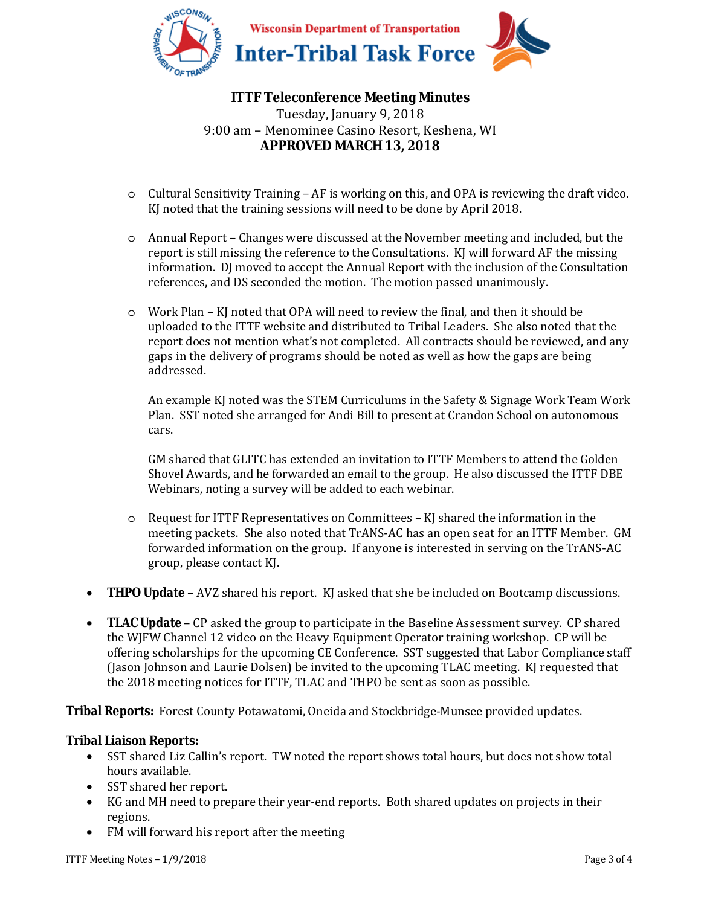

# **ITTF Teleconference Meeting Minutes**

Tuesday, January 9, 2018 9:00 am – Menominee Casino Resort, Keshena, WI **APPROVED MARCH 13, 2018** 

- o Cultural Sensitivity Training AF is working on this, and OPA is reviewing the draft video. KJ noted that the training sessions will need to be done by April 2018.
- o Annual Report Changes were discussed at the November meeting and included, but the report is still missing the reference to the Consultations. KJ will forward AF the missing information. DJ moved to accept the Annual Report with the inclusion of the Consultation references, and DS seconded the motion. The motion passed unanimously.
- $\circ$  Work Plan KJ noted that OPA will need to review the final, and then it should be uploaded to the ITTF website and distributed to Tribal Leaders. She also noted that the report does not mention what's not completed. All contracts should be reviewed, and any gaps in the delivery of programs should be noted as well as how the gaps are being addressed.

An example KJ noted was the STEM Curriculums in the Safety & Signage Work Team Work Plan. SST noted she arranged for Andi Bill to present at Crandon School on autonomous cars.

GM shared that GLITC has extended an invitation to ITTF Members to attend the Golden Shovel Awards, and he forwarded an email to the group. He also discussed the ITTF DBE Webinars, noting a survey will be added to each webinar.

- o Request for ITTF Representatives on Committees KJ shared the information in the meeting packets. She also noted that TrANS-AC has an open seat for an ITTF Member. GM forwarded information on the group. If anyone is interested in serving on the TrANS-AC group, please contact KJ.
- **THPO Update** AVZ shared his report. KJ asked that she be included on Bootcamp discussions.
- **TLAC Update** CP asked the group to participate in the Baseline Assessment survey. CP shared the WJFW Channel 12 video on the Heavy Equipment Operator training workshop. CP will be offering scholarships for the upcoming CE Conference. SST suggested that Labor Compliance staff (Jason Johnson and Laurie Dolsen) be invited to the upcoming TLAC meeting. KJ requested that the 2018 meeting notices for ITTF, TLAC and THPO be sent as soon as possible.

**Tribal Reports:** Forest County Potawatomi, Oneida and Stockbridge-Munsee provided updates.

## **Tribal Liaison Reports:**

- SST shared Liz Callin's report. TW noted the report shows total hours, but does not show total hours available.
- SST shared her report.
- KG and MH need to prepare their year-end reports. Both shared updates on projects in their regions.
- FM will forward his report after the meeting